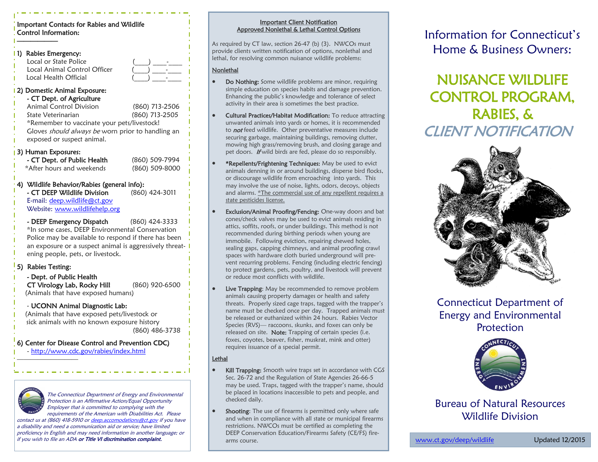#### Important Contacts for Rabies and Wildlife Control Information:

| 1)                                                                                          | Rabies Emergency:<br>Local or State Police<br>Local Animal Control Officer<br>Local Health Official                                                                                                                                                    |                                  |
|---------------------------------------------------------------------------------------------|--------------------------------------------------------------------------------------------------------------------------------------------------------------------------------------------------------------------------------------------------------|----------------------------------|
|                                                                                             | 2) Domestic Animal Exposure:<br>- CT Dept. of Agriculture<br><b>Animal Control Division</b><br>State Veterinarian<br>*Remember to vaccinate your pets/livestock!<br>Gloves should always be worn prior to handling an<br>exposed or suspect animal.    | (860) 713-2506<br>(860) 713-2505 |
|                                                                                             | 3) Human Exposures:<br>- CT Dept. of Public Health<br>*After hours and weekends                                                                                                                                                                        | (860) 509-7994<br>(860) 509-8000 |
|                                                                                             | 4) Wildlife Behavior/Rabies (general info):<br>- CT DEEP Wildlife Division<br>E-mail: deep.wildlife@ct.gov<br>Website: www.wildlifehelp.org                                                                                                            | (860) 424-3011                   |
|                                                                                             | - DEEP Emergency Dispatch<br>(860) 424-3333<br>*In some cases, DEEP Environmental Conservation<br>Police may be available to respond if there has been<br>an exposure or a suspect animal is aggressively threat-<br>ening people, pets, or livestock. |                                  |
|                                                                                             | 5) Rabies Testing:<br>- Dept. of Public Health<br>CT Virology Lab, Rocky Hill<br>(Animals that have exposed humans)                                                                                                                                    | (860) 920-6500                   |
|                                                                                             | - UCONN Animal Diagnostic Lab:<br>(Animals that have exposed pets/livestock or<br>sick animals with no known exposure history<br>(860) 486-3738                                                                                                        |                                  |
| 6) Center for Disease Control and Prevention CDC)<br>- http://www.cdc.gov/rabies/index.html |                                                                                                                                                                                                                                                        |                                  |
|                                                                                             |                                                                                                                                                                                                                                                        |                                  |
|                                                                                             |                                                                                                                                                                                                                                                        |                                  |



The Connecticut Department of Energy and Environmental Protection is an Affirmative Action/Equal Opportunity Employer that is committed to complying with the requirements of the American with Disabilities Act. Please

contact us at (860) 418-5910 or [deep.accomodations@ct.gov](mailto:deep.accomodations@ct.gov) if you have a disability and need a communication aid or service; have limited proficiency in English and may need information in another language; or if you wish to file an ADA or Title VI discrimination complaint.

#### Important Client Notification Approved Nonlethal & Lethal Control Options

As required by CT law, section 26-47 (b) (3). NWCOs must provide clients written notification of options, nonlethal and lethal, for resolving common nuisance wildlife problems:

#### Nonlethal

- Do Nothing: Some wildlife problems are minor, requiring simple education on species habits and damage prevention. Enhancing the public's knowledge and tolerance of select activity in their area is sometimes the best practice.
- Cultural Practices/Habitat Modification: To reduce attracting unwanted animals into yards or homes, it is recommended to **not** feed wildlife. Other preventative measures include securing garbage, maintaining buildings, removing clutter, mowing high grass/removing brush, and closing garage and pet doors. If wild birds are fed, please do so responsibly.
- \*Repellents/Frightening Techniques: May be used to evict animals denning in or around buildings, disperse bird flocks, or discourage wildlife from encroaching into yards. This may involve the use of noise, lights, odors, decoys, objects and alarms. \*The commercial use of any repellent requires a state pesticides license.
- Exclusion/Animal Proofing/Fencing: One-way doors and bat cones/check valves may be used to evict animals residing in attics, soffits, roofs, or under buildings. This method is not recommended during birthing periods when young are immobile. Following eviction, repairing chewed holes, sealing gaps, capping chimneys, and animal proofing crawl spaces with hardware cloth buried underground will prevent recurring problems. Fencing (including electric fencing) to protect gardens, pets, poultry, and livestock will prevent or reduce most conflicts with wildlife.
- Live Trapping: May be recommended to remove problem animals causing property damages or health and safety threats. Properly sized cage traps, tagged with the trapper's name must be checked once per day. Trapped animals must be released or euthanized within 24 hours. Rabies Vector Species (RVS)— raccoons, skunks, and foxes can only be released on site. Note: Trapping of certain species (i.e. foxes, coyotes, beaver, fisher, muskrat, mink and otter) requires issuance of a special permit.

#### Lethal

- Kill Trapping: Smooth wire traps set in accordance with CGS Sec. 26-72 and the Regulation of State Agencies 26-66-5 may be used. Traps, tagged with the trapper's name, should be placed in locations inaccessible to pets and people, and checked daily.
- Shooting: The use of firearms is permitted only where safe and when in compliance with all state or municipal firearms restrictions. NWCOs must be certified as completing the DEEP Conservation Education/Firearms Safety (CE/FS) firearms course.

Information for Connecticut's Home & Business Owners:

NUISANCE WILDLIFE CONTROL PROGRAM, RABIES, & CLIENT NOTIFICATION



Connecticut Department of Energy and Environmental Protection



### Bureau of Natural Resources Wildlife Division

[www.ct.gov/deep/wildlife](http://www.ct.gov/deep/wildlife) Updated 12/2015